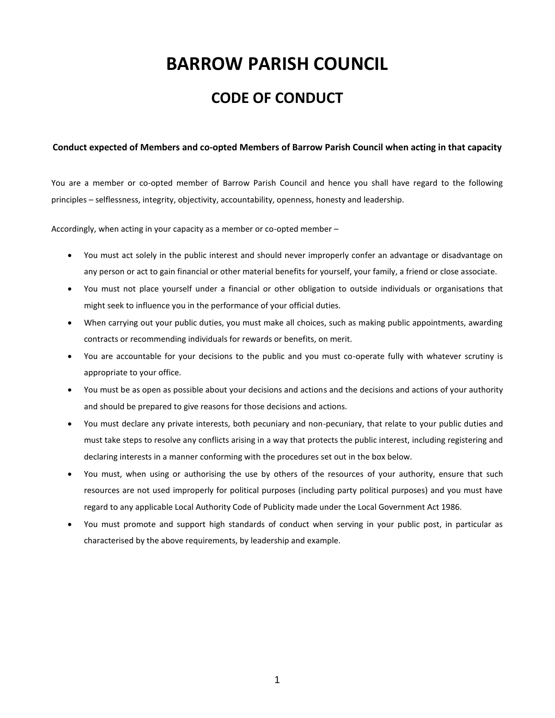# **BARROW PARISH COUNCIL**

## **CODE OF CONDUCT**

#### **Conduct expected of Members and co-opted Members of Barrow Parish Council when acting in that capacity**

You are a member or co-opted member of Barrow Parish Council and hence you shall have regard to the following principles – selflessness, integrity, objectivity, accountability, openness, honesty and leadership.

Accordingly, when acting in your capacity as a member or co-opted member –

- You must act solely in the public interest and should never improperly confer an advantage or disadvantage on any person or act to gain financial or other material benefits for yourself, your family, a friend or close associate.
- You must not place yourself under a financial or other obligation to outside individuals or organisations that might seek to influence you in the performance of your official duties.
- When carrying out your public duties, you must make all choices, such as making public appointments, awarding contracts or recommending individuals for rewards or benefits, on merit.
- You are accountable for your decisions to the public and you must co-operate fully with whatever scrutiny is appropriate to your office.
- You must be as open as possible about your decisions and actions and the decisions and actions of your authority and should be prepared to give reasons for those decisions and actions.
- You must declare any private interests, both pecuniary and non-pecuniary, that relate to your public duties and must take steps to resolve any conflicts arising in a way that protects the public interest, including registering and declaring interests in a manner conforming with the procedures set out in the box below.
- You must, when using or authorising the use by others of the resources of your authority, ensure that such resources are not used improperly for political purposes (including party political purposes) and you must have regard to any applicable Local Authority Code of Publicity made under the Local Government Act 1986.
- You must promote and support high standards of conduct when serving in your public post, in particular as characterised by the above requirements, by leadership and example.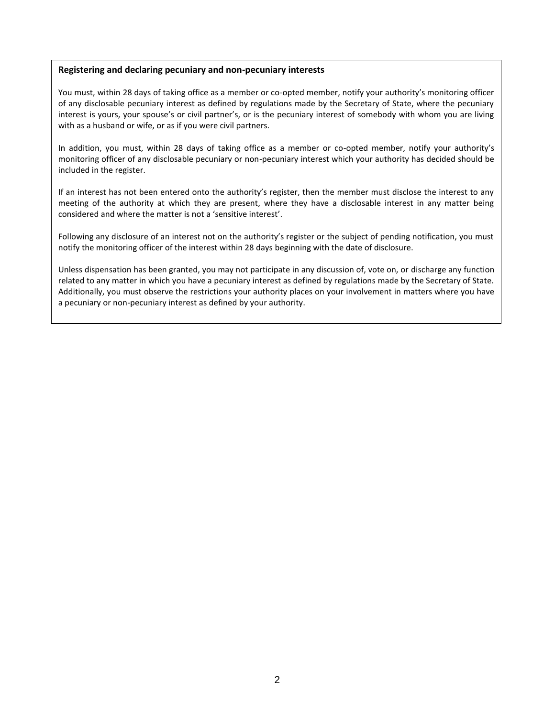#### **Registering and declaring pecuniary and non-pecuniary interests**

You must, within 28 days of taking office as a member or co-opted member, notify your authority's monitoring officer of any disclosable pecuniary interest as defined by regulations made by the Secretary of State, where the pecuniary interest is yours, your spouse's or civil partner's, or is the pecuniary interest of somebody with whom you are living with as a husband or wife, or as if you were civil partners.

In addition, you must, within 28 days of taking office as a member or co-opted member, notify your authority's monitoring officer of any disclosable pecuniary or non-pecuniary interest which your authority has decided should be included in the register.

If an interest has not been entered onto the authority's register, then the member must disclose the interest to any meeting of the authority at which they are present, where they have a disclosable interest in any matter being considered and where the matter is not a 'sensitive interest'.

Following any disclosure of an interest not on the authority's register or the subject of pending notification, you must notify the monitoring officer of the interest within 28 days beginning with the date of disclosure.

Unless dispensation has been granted, you may not participate in any discussion of, vote on, or discharge any function related to any matter in which you have a pecuniary interest as defined by regulations made by the Secretary of State. Additionally, you must observe the restrictions your authority places on your involvement in matters where you have a pecuniary or non-pecuniary interest as defined by your authority.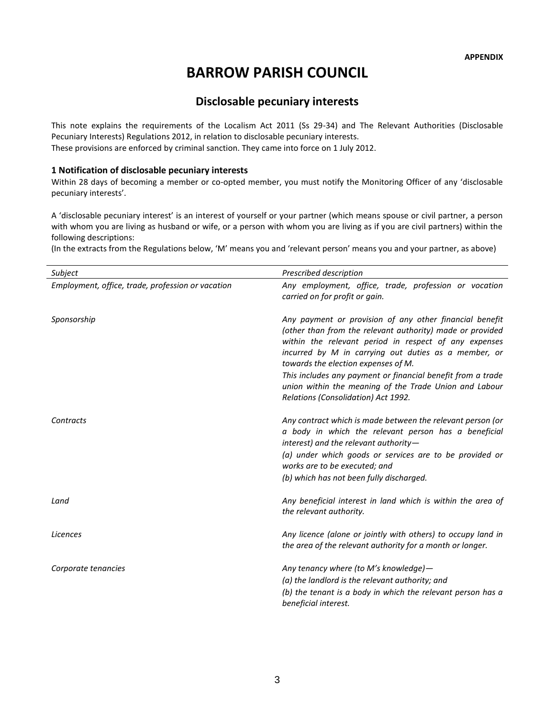## **BARROW PARISH COUNCIL**

### **Disclosable pecuniary interests**

This note explains the requirements of the Localism Act 2011 (Ss 29-34) and The Relevant Authorities (Disclosable Pecuniary Interests) Regulations 2012, in relation to disclosable pecuniary interests. These provisions are enforced by criminal sanction. They came into force on 1 July 2012.

#### **1 Notification of disclosable pecuniary interests**

Within 28 days of becoming a member or co-opted member, you must notify the Monitoring Officer of any 'disclosable pecuniary interests'.

A 'disclosable pecuniary interest' is an interest of yourself or your partner (which means spouse or civil partner, a person with whom you are living as husband or wife, or a person with whom you are living as if you are civil partners) within the following descriptions:

(In the extracts from the Regulations below, 'M' means you and 'relevant person' means you and your partner, as above)

| Subject                                           | Prescribed description                                                                                                                                                                                                                                                                                                                                                                                                                       |
|---------------------------------------------------|----------------------------------------------------------------------------------------------------------------------------------------------------------------------------------------------------------------------------------------------------------------------------------------------------------------------------------------------------------------------------------------------------------------------------------------------|
| Employment, office, trade, profession or vacation | Any employment, office, trade, profession or vocation<br>carried on for profit or gain.                                                                                                                                                                                                                                                                                                                                                      |
| Sponsorship                                       | Any payment or provision of any other financial benefit<br>(other than from the relevant authority) made or provided<br>within the relevant period in respect of any expenses<br>incurred by M in carrying out duties as a member, or<br>towards the election expenses of M.<br>This includes any payment or financial benefit from a trade<br>union within the meaning of the Trade Union and Labour<br>Relations (Consolidation) Act 1992. |
| Contracts                                         | Any contract which is made between the relevant person (or<br>a body in which the relevant person has a beneficial<br>interest) and the relevant authority-<br>(a) under which goods or services are to be provided or<br>works are to be executed; and<br>(b) which has not been fully discharged.                                                                                                                                          |
| Land                                              | Any beneficial interest in land which is within the area of<br>the relevant authority.                                                                                                                                                                                                                                                                                                                                                       |
| Licences                                          | Any licence (alone or jointly with others) to occupy land in<br>the area of the relevant authority for a month or longer.                                                                                                                                                                                                                                                                                                                    |
| Corporate tenancies                               | Any tenancy where (to M's knowledge)-<br>(a) the landlord is the relevant authority; and<br>(b) the tenant is a body in which the relevant person has a<br>beneficial interest.                                                                                                                                                                                                                                                              |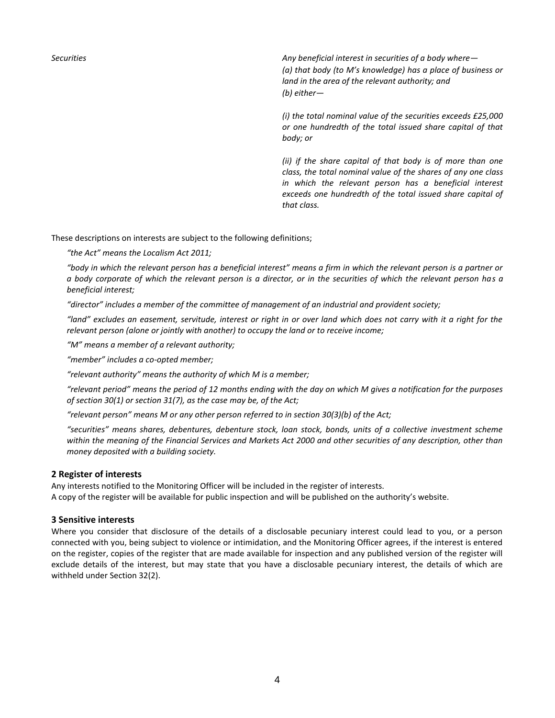*Securities Any beneficial interest in securities of a body where— (a) that body (to M's knowledge) has a place of business or land in the area of the relevant authority; and (b) either—*

> *(i) the total nominal value of the securities exceeds £25,000 or one hundredth of the total issued share capital of that body; or*

> *(ii) if the share capital of that body is of more than one class, the total nominal value of the shares of any one class in which the relevant person has a beneficial interest exceeds one hundredth of the total issued share capital of that class.*

These descriptions on interests are subject to the following definitions;

*"the Act" means the Localism Act 2011;*

*"body in which the relevant person has a beneficial interest" means a firm in which the relevant person is a partner or a body corporate of which the relevant person is a director, or in the securities of which the relevant person has a beneficial interest;*

*"director" includes a member of the committee of management of an industrial and provident society;*

*"land" excludes an easement, servitude, interest or right in or over land which does not carry with it a right for the relevant person (alone or jointly with another) to occupy the land or to receive income;*

*"M" means a member of a relevant authority;*

*"member" includes a co-opted member;*

*"relevant authority" means the authority of which M is a member;*

*"relevant period" means the period of 12 months ending with the day on which M gives a notification for the purposes of section 30(1) or section 31(7), as the case may be, of the Act;*

*"relevant person" means M or any other person referred to in section 30(3)(b) of the Act;*

*"securities" means shares, debentures, debenture stock, loan stock, bonds, units of a collective investment scheme within the meaning of the Financial Services and Markets Act 2000 and other securities of any description, other than money deposited with a building society.*

#### **2 Register of interests**

Any interests notified to the Monitoring Officer will be included in the register of interests. A copy of the register will be available for public inspection and will be published on the authority's website.

#### **3 Sensitive interests**

Where you consider that disclosure of the details of a disclosable pecuniary interest could lead to you, or a person connected with you, being subject to violence or intimidation, and the Monitoring Officer agrees, if the interest is entered on the register, copies of the register that are made available for inspection and any published version of the register will exclude details of the interest, but may state that you have a disclosable pecuniary interest, the details of which are withheld under Section 32(2).